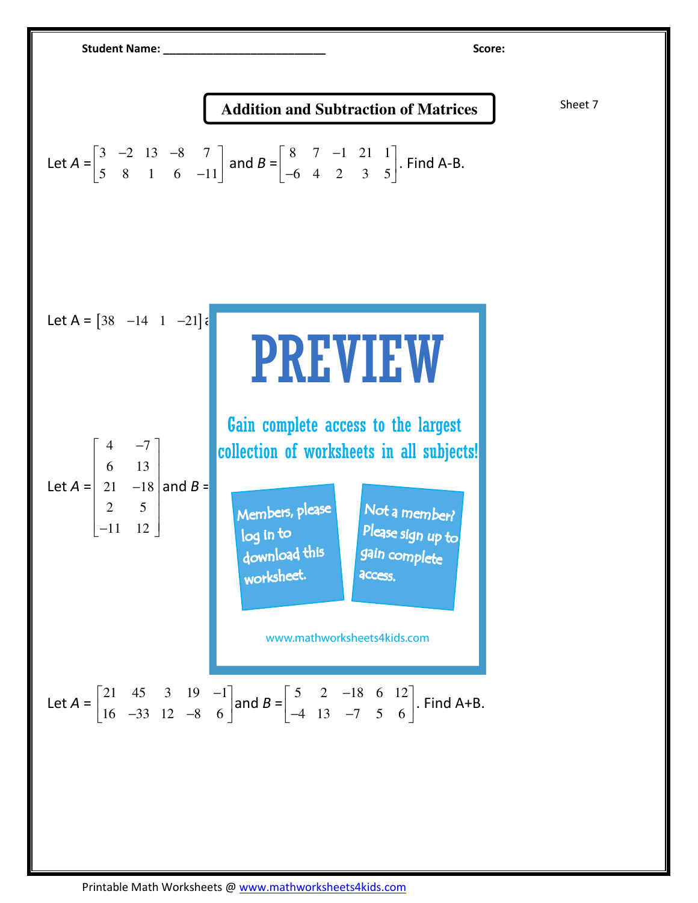